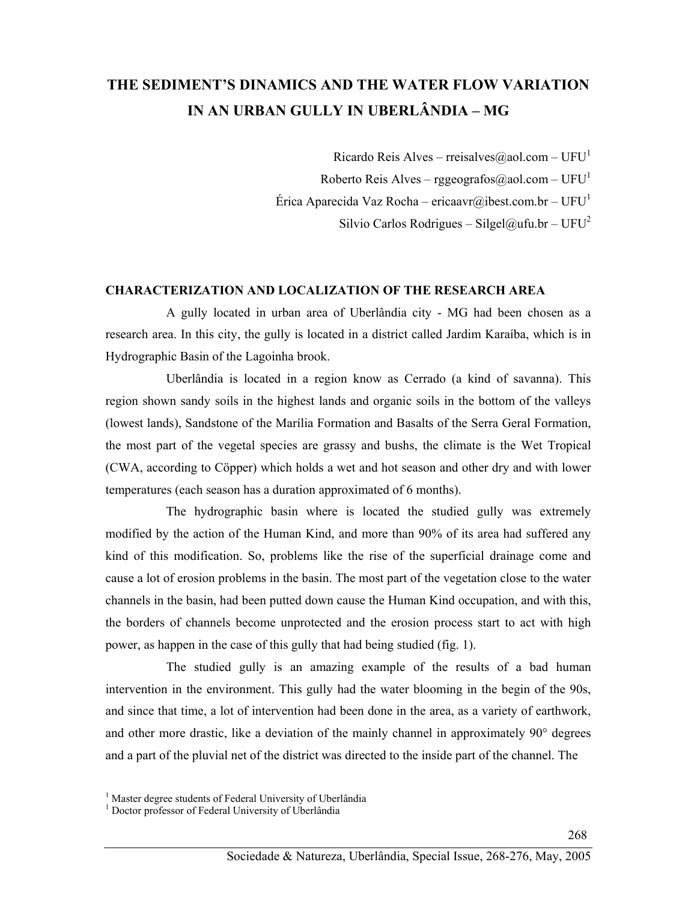# **THE SEDIMENT'S DINAMICS AND THE WATER FLOW VARIATION IN AN URBAN GULLY IN UBERLÂNDIA – MG**

Ricardo Reis Alves – rreisalves@aol.com – UFU<sup>1</sup>

Roberto Reis Alves – rggeografos@aol.com – UFU<sup>1</sup>

Érica Aparecida Vaz Rocha – ericaavr@ibest.com.br – UFU<sup>1</sup>

Silvio Carlos Rodrigues – Silgel@ufu.br – UFU<sup>2</sup>

#### **CHARACTERIZATION AND LOCALIZATION OF THE RESEARCH AREA**

 A gully located in urban area of Uberlândia city - MG had been chosen as a research area. In this city, the gully is located in a district called Jardim Karaíba, which is in Hydrographic Basin of the Lagoinha brook.

 Uberlândia is located in a region know as Cerrado (a kind of savanna). This region shown sandy soils in the highest lands and organic soils in the bottom of the valleys (lowest lands), Sandstone of the Marília Formation and Basalts of the Serra Geral Formation, the most part of the vegetal species are grassy and bushs, the climate is the Wet Tropical (CWA, according to Cöpper) which holds a wet and hot season and other dry and with lower temperatures (each season has a duration approximated of 6 months).

 The hydrographic basin where is located the studied gully was extremely modified by the action of the Human Kind, and more than 90% of its area had suffered any kind of this modification. So, problems like the rise of the superficial drainage come and cause a lot of erosion problems in the basin. The most part of the vegetation close to the water channels in the basin, had been putted down cause the Human Kind occupation, and with this, the borders of channels become unprotected and the erosion process start to act with high power, as happen in the case of this gully that had being studied (fig. 1).

 The studied gully is an amazing example of the results of a bad human intervention in the environment. This gully had the water blooming in the begin of the 90s, and since that time, a lot of intervention had been done in the area, as a variety of earthwork, and other more drastic, like a deviation of the mainly channel in approximately 90° degrees and a part of the pluvial net of the district was directed to the inside part of the channel. The

268

<sup>&</sup>lt;sup>1</sup> Master degree students of Federal University of Uberlândia

<sup>&</sup>lt;sup>1</sup> Doctor professor of Federal University of Uberlândia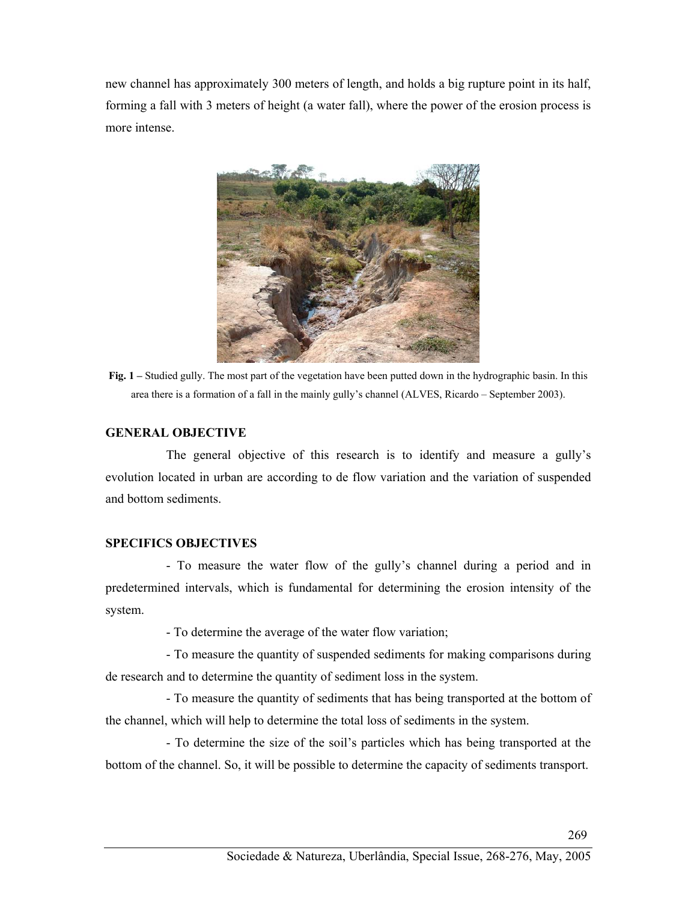new channel has approximately 300 meters of length, and holds a big rupture point in its half, forming a fall with 3 meters of height (a water fall), where the power of the erosion process is more intense.



**Fig. 1 –** Studied gully. The most part of the vegetation have been putted down in the hydrographic basin. In this area there is a formation of a fall in the mainly gully's channel (ALVES, Ricardo – September 2003).

## **GENERAL OBJECTIVE**

 The general objective of this research is to identify and measure a gully's evolution located in urban are according to de flow variation and the variation of suspended and bottom sediments.

# **SPECIFICS OBJECTIVES**

 - To measure the water flow of the gully's channel during a period and in predetermined intervals, which is fundamental for determining the erosion intensity of the system.

- To determine the average of the water flow variation;

 - To measure the quantity of suspended sediments for making comparisons during de research and to determine the quantity of sediment loss in the system.

 - To measure the quantity of sediments that has being transported at the bottom of the channel, which will help to determine the total loss of sediments in the system.

 - To determine the size of the soil's particles which has being transported at the bottom of the channel. So, it will be possible to determine the capacity of sediments transport.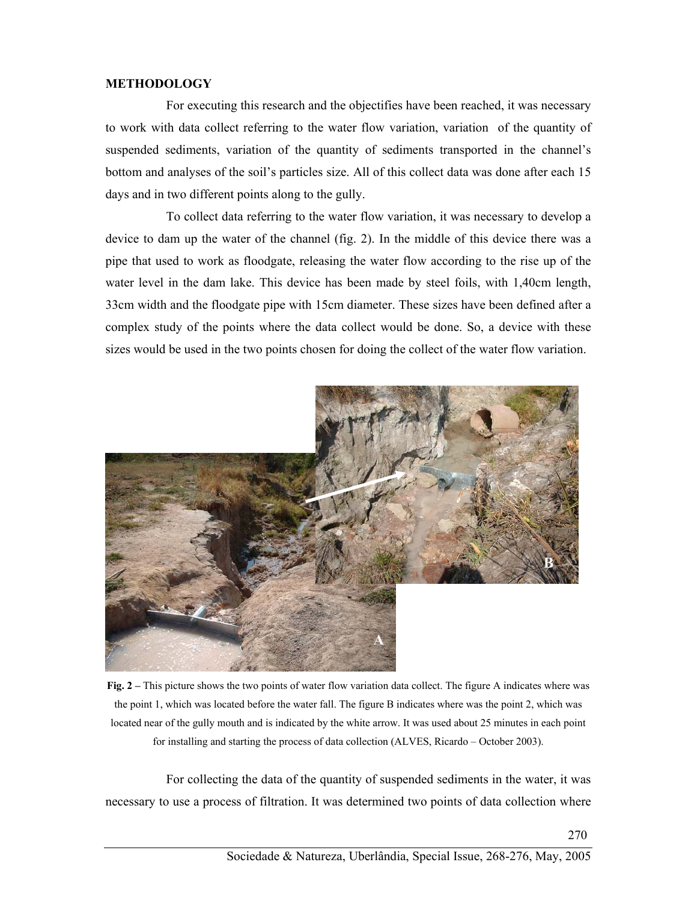#### **METHODOLOGY**

 For executing this research and the objectifies have been reached, it was necessary to work with data collect referring to the water flow variation, variation of the quantity of suspended sediments, variation of the quantity of sediments transported in the channel's bottom and analyses of the soil's particles size. All of this collect data was done after each 15 days and in two different points along to the gully.

 To collect data referring to the water flow variation, it was necessary to develop a device to dam up the water of the channel (fig. 2). In the middle of this device there was a pipe that used to work as floodgate, releasing the water flow according to the rise up of the water level in the dam lake. This device has been made by steel foils, with 1,40cm length, 33cm width and the floodgate pipe with 15cm diameter. These sizes have been defined after a complex study of the points where the data collect would be done. So, a device with these sizes would be used in the two points chosen for doing the collect of the water flow variation.



**Fig. 2 –** This picture shows the two points of water flow variation data collect. The figure A indicates where was the point 1, which was located before the water fall. The figure B indicates where was the point 2, which was located near of the gully mouth and is indicated by the white arrow. It was used about 25 minutes in each point for installing and starting the process of data collection (ALVES, Ricardo – October 2003).

 For collecting the data of the quantity of suspended sediments in the water, it was necessary to use a process of filtration. It was determined two points of data collection where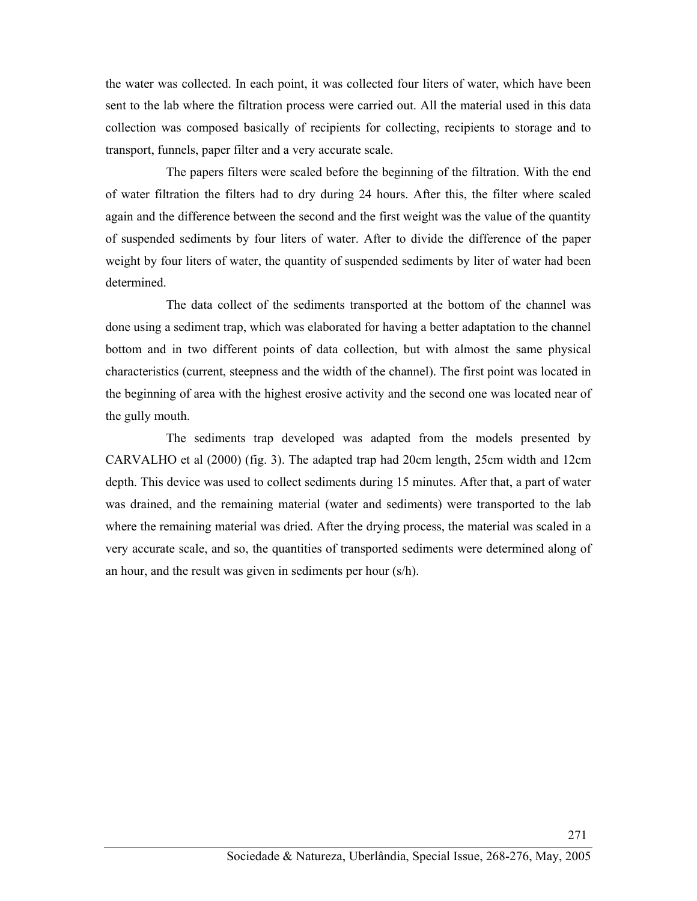the water was collected. In each point, it was collected four liters of water, which have been sent to the lab where the filtration process were carried out. All the material used in this data collection was composed basically of recipients for collecting, recipients to storage and to transport, funnels, paper filter and a very accurate scale.

 The papers filters were scaled before the beginning of the filtration. With the end of water filtration the filters had to dry during 24 hours. After this, the filter where scaled again and the difference between the second and the first weight was the value of the quantity of suspended sediments by four liters of water. After to divide the difference of the paper weight by four liters of water, the quantity of suspended sediments by liter of water had been determined.

 The data collect of the sediments transported at the bottom of the channel was done using a sediment trap, which was elaborated for having a better adaptation to the channel bottom and in two different points of data collection, but with almost the same physical characteristics (current, steepness and the width of the channel). The first point was located in the beginning of area with the highest erosive activity and the second one was located near of the gully mouth.

 The sediments trap developed was adapted from the models presented by CARVALHO et al (2000) (fig. 3). The adapted trap had 20cm length, 25cm width and 12cm depth. This device was used to collect sediments during 15 minutes. After that, a part of water was drained, and the remaining material (water and sediments) were transported to the lab where the remaining material was dried. After the drying process, the material was scaled in a very accurate scale, and so, the quantities of transported sediments were determined along of an hour, and the result was given in sediments per hour (s/h).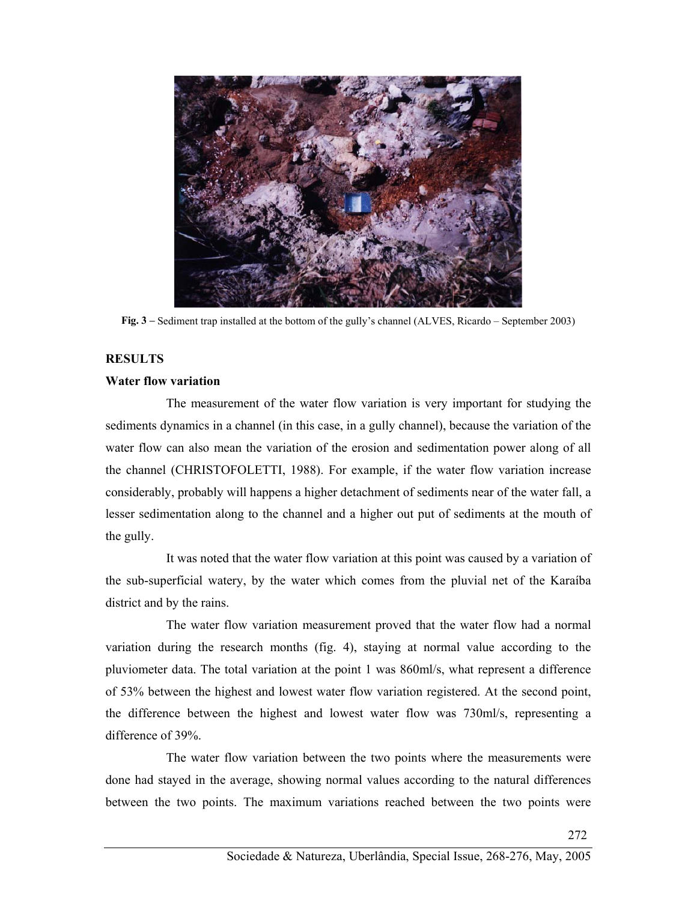

**Fig. 3 –** Sediment trap installed at the bottom of the gully's channel (ALVES, Ricardo – September 2003)

### **RESULTS**

#### **Water flow variation**

 The measurement of the water flow variation is very important for studying the sediments dynamics in a channel (in this case, in a gully channel), because the variation of the water flow can also mean the variation of the erosion and sedimentation power along of all the channel (CHRISTOFOLETTI, 1988). For example, if the water flow variation increase considerably, probably will happens a higher detachment of sediments near of the water fall, a lesser sedimentation along to the channel and a higher out put of sediments at the mouth of the gully.

 It was noted that the water flow variation at this point was caused by a variation of the sub-superficial watery, by the water which comes from the pluvial net of the Karaíba district and by the rains.

 The water flow variation measurement proved that the water flow had a normal variation during the research months (fig. 4), staying at normal value according to the pluviometer data. The total variation at the point 1 was 860ml/s, what represent a difference of 53% between the highest and lowest water flow variation registered. At the second point, the difference between the highest and lowest water flow was 730ml/s, representing a difference of 39%.

 The water flow variation between the two points where the measurements were done had stayed in the average, showing normal values according to the natural differences between the two points. The maximum variations reached between the two points were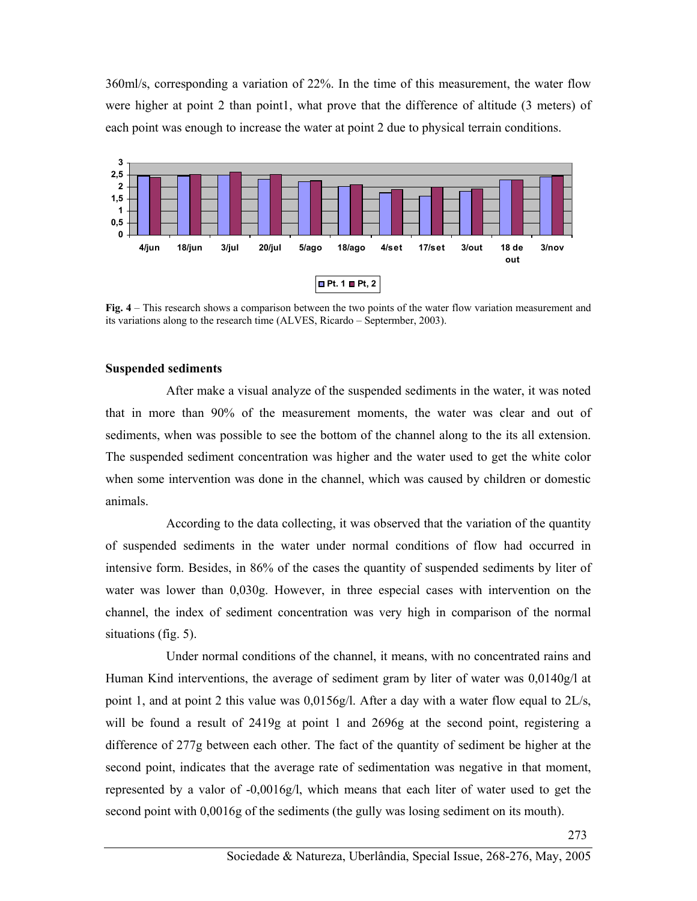360ml/s, corresponding a variation of 22%. In the time of this measurement, the water flow were higher at point 2 than point1, what prove that the difference of altitude (3 meters) of each point was enough to increase the water at point 2 due to physical terrain conditions.



**Fig. 4** – This research shows a comparison between the two points of the water flow variation measurement and its variations along to the research time (ALVES, Ricardo – Septermber, 2003).

#### **Suspended sediments**

 After make a visual analyze of the suspended sediments in the water, it was noted that in more than 90% of the measurement moments, the water was clear and out of sediments, when was possible to see the bottom of the channel along to the its all extension. The suspended sediment concentration was higher and the water used to get the white color when some intervention was done in the channel, which was caused by children or domestic animals.

 According to the data collecting, it was observed that the variation of the quantity of suspended sediments in the water under normal conditions of flow had occurred in intensive form. Besides, in 86% of the cases the quantity of suspended sediments by liter of water was lower than 0,030g. However, in three especial cases with intervention on the channel, the index of sediment concentration was very high in comparison of the normal situations (fig. 5).

 Under normal conditions of the channel, it means, with no concentrated rains and Human Kind interventions, the average of sediment gram by liter of water was 0,0140g/l at point 1, and at point 2 this value was 0,0156g/l. After a day with a water flow equal to 2L/s, will be found a result of 2419g at point 1 and 2696g at the second point, registering a difference of 277g between each other. The fact of the quantity of sediment be higher at the second point, indicates that the average rate of sedimentation was negative in that moment, represented by a valor of -0,0016g/l, which means that each liter of water used to get the second point with 0,0016g of the sediments (the gully was losing sediment on its mouth).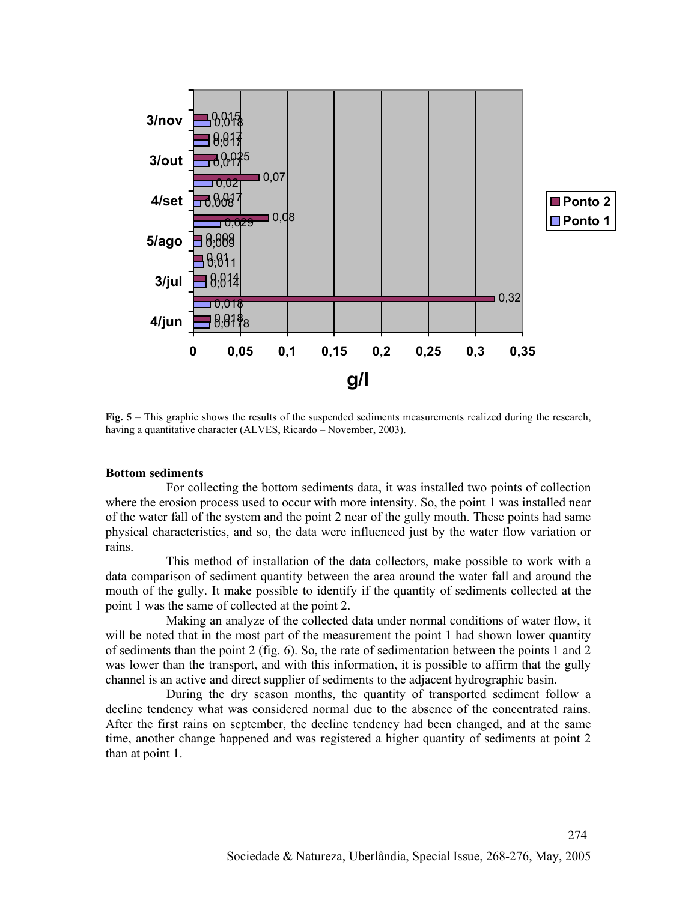

**Fig. 5** – This graphic shows the results of the suspended sediments measurements realized during the research, having a quantitative character (ALVES, Ricardo – November, 2003).

#### **Bottom sediments**

 For collecting the bottom sediments data, it was installed two points of collection where the erosion process used to occur with more intensity. So, the point 1 was installed near of the water fall of the system and the point 2 near of the gully mouth. These points had same physical characteristics, and so, the data were influenced just by the water flow variation or rains.

 This method of installation of the data collectors, make possible to work with a data comparison of sediment quantity between the area around the water fall and around the mouth of the gully. It make possible to identify if the quantity of sediments collected at the point 1 was the same of collected at the point 2.

 Making an analyze of the collected data under normal conditions of water flow, it will be noted that in the most part of the measurement the point 1 had shown lower quantity of sediments than the point 2 (fig. 6). So, the rate of sedimentation between the points 1 and 2 was lower than the transport, and with this information, it is possible to affirm that the gully channel is an active and direct supplier of sediments to the adjacent hydrographic basin.

 During the dry season months, the quantity of transported sediment follow a decline tendency what was considered normal due to the absence of the concentrated rains. After the first rains on september, the decline tendency had been changed, and at the same time, another change happened and was registered a higher quantity of sediments at point 2 than at point 1.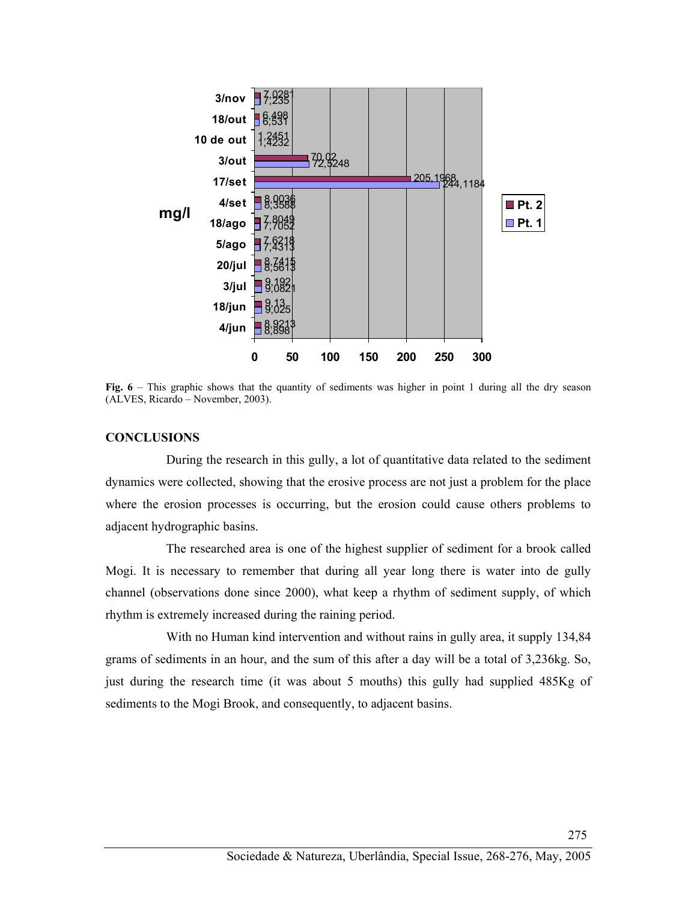

**Fig. 6** – This graphic shows that the quantity of sediments was higher in point 1 during all the dry season (ALVES, Ricardo – November, 2003).

#### **CONCLUSIONS**

 During the research in this gully, a lot of quantitative data related to the sediment dynamics were collected, showing that the erosive process are not just a problem for the place where the erosion processes is occurring, but the erosion could cause others problems to adjacent hydrographic basins.

 The researched area is one of the highest supplier of sediment for a brook called Mogi. It is necessary to remember that during all year long there is water into de gully channel (observations done since 2000), what keep a rhythm of sediment supply, of which rhythm is extremely increased during the raining period.

 With no Human kind intervention and without rains in gully area, it supply 134,84 grams of sediments in an hour, and the sum of this after a day will be a total of 3,236kg. So, just during the research time (it was about 5 mouths) this gully had supplied 485Kg of sediments to the Mogi Brook, and consequently, to adjacent basins.